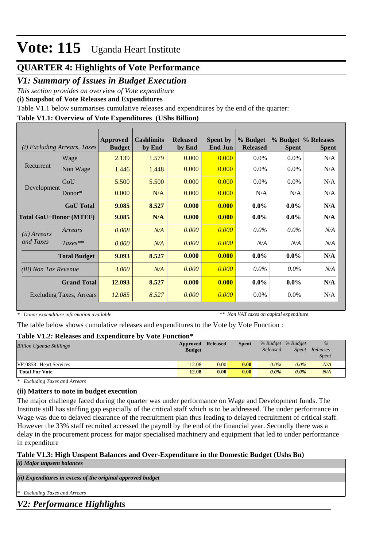## **QUARTER 4: Highlights of Vote Performance**

## *V1: Summary of Issues in Budget Execution*

*This section provides an overview of Vote expenditure* 

**(i) Snapshot of Vote Releases and Expenditures**

Table V1.1 below summarises cumulative releases and expenditures by the end of the quarter:

### **Table V1.1: Overview of Vote Expenditures (UShs Billion)**

|                                 | (i) Excluding Arrears, Taxes | <b>Approved</b><br><b>Budget</b> | <b>Cashlimits</b><br>by End | <b>Released</b><br>by End | <b>Spent by</b><br><b>End Jun</b> | % Budget<br><b>Released</b> | <b>Spent</b> | % Budget % Releases<br><b>Spent</b> |
|---------------------------------|------------------------------|----------------------------------|-----------------------------|---------------------------|-----------------------------------|-----------------------------|--------------|-------------------------------------|
|                                 | Wage                         | 2.139                            | 1.579                       | 0.000                     | 0.000                             | $0.0\%$                     | $0.0\%$      | N/A                                 |
| Recurrent                       | Non Wage                     | 1.446                            | 1.448                       | 0.000                     | 0.000                             | $0.0\%$                     | $0.0\%$      | N/A                                 |
|                                 | GoU                          | 5.500                            | 5.500                       | 0.000                     | 0.000                             | $0.0\%$                     | $0.0\%$      | N/A                                 |
| Development                     | Donor $*$                    | 0.000                            | N/A                         | 0.000                     | 0.000                             | N/A                         | N/A          | N/A                                 |
|                                 | <b>GoU</b> Total             | 9.085                            | 8.527                       | 0.000                     | 0.000                             | $0.0\%$                     | $0.0\%$      | N/A                                 |
| <b>Total GoU+Donor (MTEF)</b>   |                              | 9.085                            | N/A                         | 0.000                     | 0.000                             | $0.0\%$                     | $0.0\%$      | N/A                                 |
| ( <i>ii</i> ) Arrears           | Arrears                      | 0.008                            | N/A                         | 0.000                     | 0.000                             | $0.0\%$                     | $0.0\%$      | N/A                                 |
| and Taxes                       | $Taxes**$                    | 0.000                            | N/A                         | 0.000                     | 0.000                             | N/A                         | N/A          | N/A                                 |
|                                 | <b>Total Budget</b>          | 9.093                            | 8.527                       | 0.000                     | 0.000                             | $0.0\%$                     | $0.0\%$      | N/A                                 |
| (iii) Non Tax Revenue           |                              | 3.000                            | N/A                         | 0.000                     | 0.000                             | $0.0\%$                     | $0.0\%$      | N/A                                 |
|                                 | <b>Grand Total</b>           | 12.093                           | 8.527                       | 0.000                     | 0.000                             | $0.0\%$                     | $0.0\%$      | N/A                                 |
| <b>Excluding Taxes, Arrears</b> |                              | 12.085                           | 8.527                       | 0.000                     | 0.000                             | $0.0\%$                     | $0.0\%$      | N/A                                 |

*\* Donor expenditure information available*

*\*\* Non VAT taxes on capital expenditure*

The table below shows cumulative releases and expenditures to the Vote by Vote Function :

### **Table V1.2: Releases and Expenditure by Vote Function\***

| A WAJAU TA JERU ANUJULU UJANA AJIIN UJAMINA U MT |               |                 |       |                   |              |              |  |
|--------------------------------------------------|---------------|-----------------|-------|-------------------|--------------|--------------|--|
| <b>Billion Uganda Shillings</b>                  | Approved      | <b>Released</b> | Spent | % Budget % Budget |              | $\%$         |  |
|                                                  | <b>Budget</b> |                 |       | Released          | <i>Spent</i> | Releases     |  |
|                                                  |               |                 |       |                   |              | <i>Spent</i> |  |
| VF:0858 Heart Services                           | 12.08         | 0.00            | 0.00  | $0.0\%$           | $0.0\%$      | N/A          |  |
| <b>Total For Vote</b>                            | 12.08         | 0.00            | 0.00  | $0.0\%$           | $0.0\%$      | N/A          |  |

*\* Excluding Taxes and Arrears*

### **(ii) Matters to note in budget execution**

The major challenge faced during the quarter was under performance on Wage and Development funds. The Institute still has staffing gap especially of the critical staff which is to be addressed. The under performance in Wage was due to delayed clearance of the recruitment plan thus leading to delayed recruitment of critical staff. However the 33% staff recruited accessed the payroll by the end of the financial year. Secondly there was a delay in the procurement process for major specialised machinery and equipment that led to under performance in expenditure

### **Table V1.3: High Unspent Balances and Over-Expenditure in the Domestic Budget (Ushs Bn)**

*(i) Major unpsent balances*

*(ii) Expenditures in excess of the original approved budget*

*\* Excluding Taxes and Arrears*

*V2: Performance Highlights*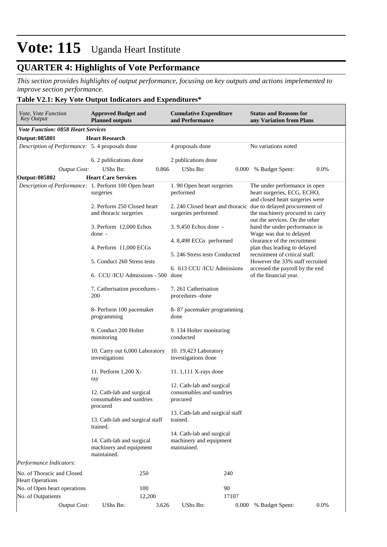## **QUARTER 4: Highlights of Vote Performance**

*This section provides highlights of output performance, focusing on key outputs and actions impelemented to improve section performance.*

### **Table V2.1: Key Vote Output Indicators and Expenditures\***

| Vote, Vote Function<br>Key Output                     | <b>Approved Budget and</b><br><b>Planned outputs</b>                | <b>Cumulative Expenditure</b><br>and Performance                                      | <b>Status and Reasons for</b><br>any Variation from Plans                                         |  |  |  |
|-------------------------------------------------------|---------------------------------------------------------------------|---------------------------------------------------------------------------------------|---------------------------------------------------------------------------------------------------|--|--|--|
| <b>Vote Function: 0858 Heart Services</b>             |                                                                     |                                                                                       |                                                                                                   |  |  |  |
| <b>Output: 085801</b>                                 | <b>Heart Research</b>                                               |                                                                                       |                                                                                                   |  |  |  |
| Description of Performance: 5.4 proposals done        |                                                                     | 4 proposals done                                                                      | No variations noted                                                                               |  |  |  |
|                                                       | 6. 2 publications done                                              | 2 publications done                                                                   |                                                                                                   |  |  |  |
| <b>Output Cost:</b>                                   | UShs Bn:<br>0.866                                                   | UShs Bn:                                                                              | 0.0%<br>0.000 % Budget Spent:                                                                     |  |  |  |
| Output: 085802                                        | <b>Heart Care Services</b>                                          |                                                                                       |                                                                                                   |  |  |  |
| Description of Performance: 1. Perform 100 Open heart | surgeries                                                           | 1.90 Open heart surgeries<br>performed                                                | The under performance in open<br>heart surgeries, ECG, ECHO,<br>and closed heart surgeries were   |  |  |  |
|                                                       | 2. Perform 250 Closed heart<br>and thoracic surgeries               | 2. 240 Closed heart and thoracic due to delayed procurement of<br>surgeries performed | the machinery procured to carry<br>out the services. On the other                                 |  |  |  |
|                                                       | 3. Perform 12,000 Echos<br>done -                                   | 3.9,450 Echos done -                                                                  | hand the under performance in<br>Wage was due to delayed                                          |  |  |  |
|                                                       |                                                                     | 4.8,498 ECGs performed                                                                | clearance of the recruitment                                                                      |  |  |  |
|                                                       | 4. Perform 11,000 ECGs<br>5. Conduct 260 Stress tests               | 5. 246 Stress tests Conducted                                                         | plan thus leading to delayed<br>recruitment of critical staff.<br>However the 33% staff recruited |  |  |  |
|                                                       | 6. CCU/ICU Admissions - 500 done                                    | 6. 613 CCU /ICU Admissions                                                            | accessed the payroll by the end<br>of the financial year.                                         |  |  |  |
|                                                       | 7. Catherisation procedures -<br>200                                | 7. 261 Catherisation<br>procedures - done                                             |                                                                                                   |  |  |  |
|                                                       | 8- Perform 100 pacemaker<br>programming                             | 8-87 pacemaker programming<br>done                                                    |                                                                                                   |  |  |  |
|                                                       | 9. Conduct 200 Holter<br>monitoring                                 | 9. 134 Holter monitoring<br>conducted                                                 |                                                                                                   |  |  |  |
|                                                       | 10. Carry out 6,000 Laboratory<br>investigations                    | 10. 19,423 Laboratory<br>investigations done                                          |                                                                                                   |  |  |  |
|                                                       | 11. Perform 1,200 X-<br>ray                                         | 11. 1,111 X-rays done                                                                 |                                                                                                   |  |  |  |
|                                                       | 12. Cath-lab and surgical<br>consumables and sundries<br>procured   | 12. Cath-lab and surgical<br>consumables and sundries<br>procured                     |                                                                                                   |  |  |  |
|                                                       | 13. Cath-lab and surgical staff<br>trained.                         | 13. Cath-lab and surgical staff<br>trained.                                           |                                                                                                   |  |  |  |
|                                                       | 14. Cath-lab and surgical<br>machinery and equipment<br>maintained. | 14. Cath-lab and surgical<br>machinery and equipment<br>maintained.                   |                                                                                                   |  |  |  |
| Performance Indicators:                               |                                                                     |                                                                                       |                                                                                                   |  |  |  |
| No. of Thoracic and Closed<br><b>Heart Operations</b> | 250                                                                 | 240                                                                                   |                                                                                                   |  |  |  |
| No. of Open heart operations                          | 100                                                                 | 90                                                                                    |                                                                                                   |  |  |  |
| No. of Outpatients                                    | 12,200                                                              | 17107                                                                                 |                                                                                                   |  |  |  |
| <b>Output Cost:</b>                                   | UShs Bn:<br>3.626                                                   | UShs Bn:<br>0.000                                                                     | 0.0%<br>% Budget Spent:                                                                           |  |  |  |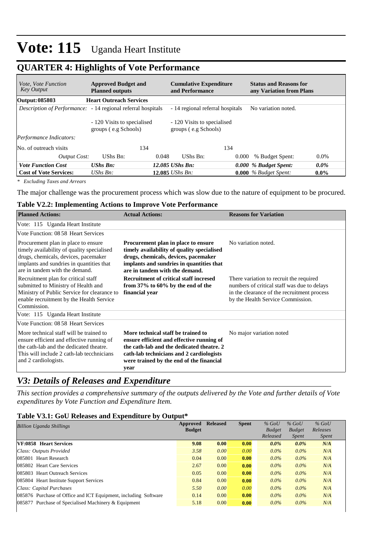## **QUARTER 4: Highlights of Vote Performance**

| <i>Vote, Vote Function</i><br><b>Key Output</b> | <b>Approved Budget and</b><br><b>Planned outputs</b>                 | <b>Cumulative Expenditure</b><br>and Performance |                                                     | <b>Status and Reasons for</b><br>any Variation from Plans |                         |         |
|-------------------------------------------------|----------------------------------------------------------------------|--------------------------------------------------|-----------------------------------------------------|-----------------------------------------------------------|-------------------------|---------|
| Output: 085803                                  | <b>Heart Outreach Services</b>                                       |                                                  |                                                     |                                                           |                         |         |
|                                                 | <i>Description of Performance</i> : - 14 regional referral hospitals |                                                  | - 14 regional referral hospitals                    |                                                           | No variation noted.     |         |
| <i>Performance Indicators:</i>                  | - 120 Visits to specialised<br>groups (e.g Schools)                  |                                                  | - 120 Visits to specialised<br>groups (e.g Schools) |                                                           |                         |         |
| No. of outreach visits                          | 134                                                                  |                                                  |                                                     | 134                                                       |                         |         |
| Output Cost:                                    | UShs Bn:                                                             | 0.048                                            | UShs Bn:                                            | 0.000                                                     | % Budget Spent:         | $0.0\%$ |
| <b>Vote Function Cost</b>                       | <b>UShs Bn:</b>                                                      |                                                  | 12.085 UShs Bn:                                     |                                                           | 0.000 % Budget Spent:   | $0.0\%$ |
| <b>Cost of Vote Services:</b>                   | UShs $B_n$ :                                                         |                                                  | 12.085 <i>UShs Bn</i> :                             |                                                           | $0.000\%$ Budget Spent: | $0.0\%$ |

*\* Excluding Taxes and Arrears*

The major challenge was the procurement process which was slow due to the nature of equipment to be procured.

#### **Table V2.2: Implementing Actions to Improve Vote Performance**

| <b>Planned Actions:</b>                                                                                                                                                                                 | <b>Actual Actions:</b>                                                                                                                                                                                                       | <b>Reasons for Variation</b>                                                                                                                                               |
|---------------------------------------------------------------------------------------------------------------------------------------------------------------------------------------------------------|------------------------------------------------------------------------------------------------------------------------------------------------------------------------------------------------------------------------------|----------------------------------------------------------------------------------------------------------------------------------------------------------------------------|
| Vote: 115 Uganda Heart Institute                                                                                                                                                                        |                                                                                                                                                                                                                              |                                                                                                                                                                            |
| Vote Function: 08.58 Heart Services                                                                                                                                                                     |                                                                                                                                                                                                                              |                                                                                                                                                                            |
| Procurement plan in place to ensure<br>timely availability of quality specialised<br>drugs, chemicals, devices, pacemaker<br>implants and sundries in quantities that<br>are in tandem with the demand. | Procurement plan in place to ensure<br>timely availability of quality specialised<br>drugs, chemicals, devices, pacemaker<br>implants and sundries in quantities that<br>are in tandem with the demand.                      | No variation noted.                                                                                                                                                        |
| Recruitment plan for critical staff<br>submitted to Ministry of Health and<br>Ministry of Public Service for clearance to<br>enable recruitment by the Health Service<br>Commission.                    | <b>Recruitment of critical staff incresed</b><br>from $37\%$ to $60\%$ by the end of the<br>financial year                                                                                                                   | There variation to recruit the required<br>numbers of critical staff was due to delays<br>in the clearance of the recruitment process<br>by the Health Service Commission. |
| Vote: 115 Uganda Heart Institute                                                                                                                                                                        |                                                                                                                                                                                                                              |                                                                                                                                                                            |
| Vote Function: 08.58 Heart Services                                                                                                                                                                     |                                                                                                                                                                                                                              |                                                                                                                                                                            |
| More technical staff will be trained to<br>ensure efficient and effective running of<br>the cath-lab and the dedicated theatre.<br>This will include 2 cath-lab tecchnicians<br>and 2 cardiologists.    | More technical staff be trained to<br>ensure efficient and effective running of<br>the cath-lab and the dedicated theatre. 2<br>cath-lab technicians and 2 cardiologists<br>were trained by the end of the financial<br>year | No major variation noted                                                                                                                                                   |

## *V3: Details of Releases and Expenditure*

*This section provides a comprehensive summary of the outputs delivered by the Vote and further details of Vote expenditures by Vote Function and Expenditure Item.*

#### **Table V3.1: GoU Releases and Expenditure by Output\***

| Billion Uganda Shillings                                        | Approved<br><b>Budget</b> | <b>Released</b> | <b>Spent</b> | $%$ GoU<br><b>Budget</b><br>Released | $%$ GoU<br><b>Budget</b><br><i>Spent</i> | $%$ GoU<br>Releases<br><i>Spent</i> |
|-----------------------------------------------------------------|---------------------------|-----------------|--------------|--------------------------------------|------------------------------------------|-------------------------------------|
| VF:0858 Heart Services                                          | 9.08                      | 0.00            | 0.00         | $0.0\%$                              | $0.0\%$                                  | N/A                                 |
| Class: Outputs Provided                                         | 3.58                      | 0.00            | 0.00         | $0.0\%$                              | $0.0\%$                                  | N/A                                 |
| 085801 Heart Research                                           | 0.04                      | 0.00            | 0.00         | $0.0\%$                              | $0.0\%$                                  | N/A                                 |
| 085802 Heart Care Services                                      | 2.67                      | 0.00            | 0.00         | $0.0\%$                              | $0.0\%$                                  | N/A                                 |
| 085803 Heart Outreach Services                                  | 0.05                      | 0.00            | 0.00         | $0.0\%$                              | $0.0\%$                                  | N/A                                 |
| 085804 Heart Institute Support Services                         | 0.84                      | 0.00            | 0.00         | $0.0\%$                              | $0.0\%$                                  | N/A                                 |
| Class: Capital Purchases                                        | 5.50                      | 0.00            | 0.00         | $0.0\%$                              | $0.0\%$                                  | N/A                                 |
| 085876 Purchase of Office and ICT Equipment, including Software | 0.14                      | 0.00            | 0.00         | $0.0\%$                              | $0.0\%$                                  | N/A                                 |
| 085877 Purchase of Specialised Machinery & Equipment            | 5.18                      | 0.00            | 0.00         | $0.0\%$                              | $0.0\%$                                  | N/A                                 |
|                                                                 |                           |                 |              |                                      |                                          |                                     |